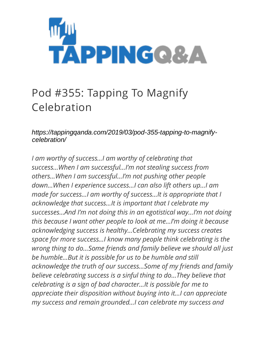

## Pod #355: Tapping To Magnify Celebration

*https://tappingqanda.com/2019/03/pod-355-tapping-to-magnifycelebration/*

*I am worthy of success…I am worthy of celebrating that success…When I am successful…I'm not stealing success from others…When I am successful…I'm not pushing other people down…When I experience success…I can also lift others up…I am made for success…I am worthy of success…It is appropriate that I acknowledge that success…It is important that I celebrate my successes…And I'm not doing this in an egotistical way…I'm not doing this because I want other people to look at me…I'm doing it because acknowledging success is healthy…Celebrating my success creates space for more success…I know many people think celebrating is the wrong thing to do…Some friends and family believe we should all just be humble…But it is possible for us to be humble and still acknowledge the truth of our success…Some of my friends and family believe celebrating success is a sinful thing to do…They believe that celebrating is a sign of bad character…It is possible for me to appreciate their disposition without buying into it…I can appreciate my success and remain grounded…I can celebrate my success and*